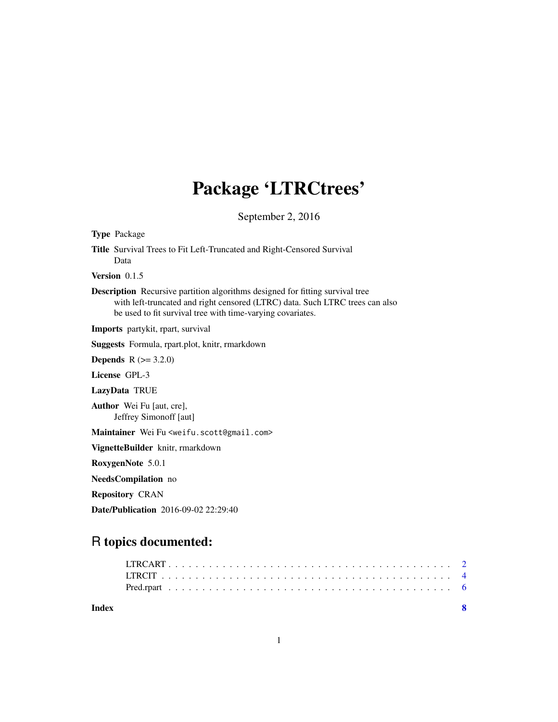## Package 'LTRCtrees'

September 2, 2016

<span id="page-0-0"></span>Type Package

Title Survival Trees to Fit Left-Truncated and Right-Censored Survival Data

Version 0.1.5

Description Recursive partition algorithms designed for fitting survival tree with left-truncated and right censored (LTRC) data. Such LTRC trees can also be used to fit survival tree with time-varying covariates.

Imports partykit, rpart, survival

Suggests Formula, rpart.plot, knitr, rmarkdown

**Depends**  $R (= 3.2.0)$ 

License GPL-3

LazyData TRUE

Author Wei Fu [aut, cre], Jeffrey Simonoff [aut]

Maintainer Wei Fu <weifu.scott@gmail.com>

VignetteBuilder knitr, rmarkdown

RoxygenNote 5.0.1

NeedsCompilation no

Repository CRAN

Date/Publication 2016-09-02 22:29:40

### R topics documented:

**Index** [8](#page-7-0) **8**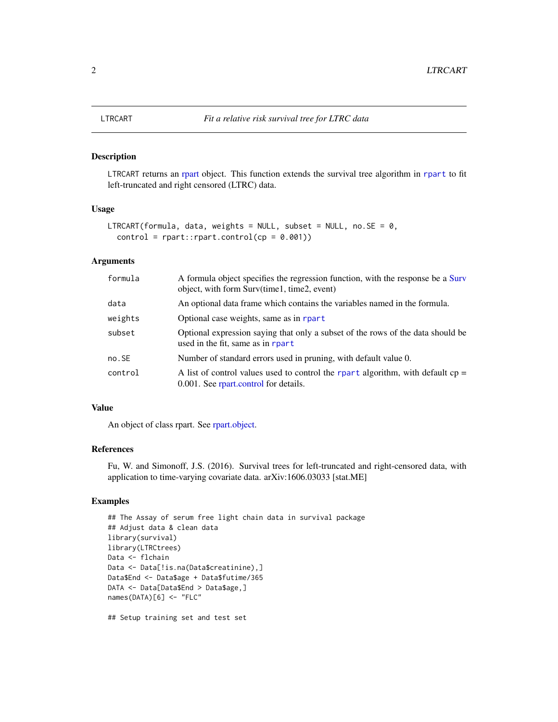#### Description

LTRCART returns an [rpart](#page-0-0) object. This function extends the survival tree algorithm in [rpart](#page-0-0) to fit left-truncated and right censored (LTRC) data.

#### Usage

```
LTRCART(formula, data, weights = NULL, subset = NULL, no. SE = 0,
  control = rpart::rpart.control(cp = 0.001))
```
#### Arguments

| formula | A formula object specifies the regression function, with the response be a Surv<br>object, with form Surv(time1, time2, event) |
|---------|--------------------------------------------------------------------------------------------------------------------------------|
| data    | An optional data frame which contains the variables named in the formula.                                                      |
| weights | Optional case weights, same as in rpart                                                                                        |
| subset  | Optional expression saying that only a subset of the rows of the data should be<br>used in the fit, same as in rpart           |
| no.SE   | Number of standard errors used in pruning, with default value 0.                                                               |
| control | A list of control values used to control the rpart algorithm, with default $cp =$<br>0.001. See rpart.control for details.     |

#### Value

An object of class rpart. See [rpart.object.](#page-0-0)

#### References

Fu, W. and Simonoff, J.S. (2016). Survival trees for left-truncated and right-censored data, with application to time-varying covariate data. arXiv:1606.03033 [stat.ME]

#### Examples

```
## The Assay of serum free light chain data in survival package
## Adjust data & clean data
library(survival)
library(LTRCtrees)
Data <- flchain
Data <- Data[!is.na(Data$creatinine),]
Data$End <- Data$age + Data$futime/365
DATA <- Data[Data$End > Data$age,]
names(DATA)[6] <- "FLC"
```
## Setup training set and test set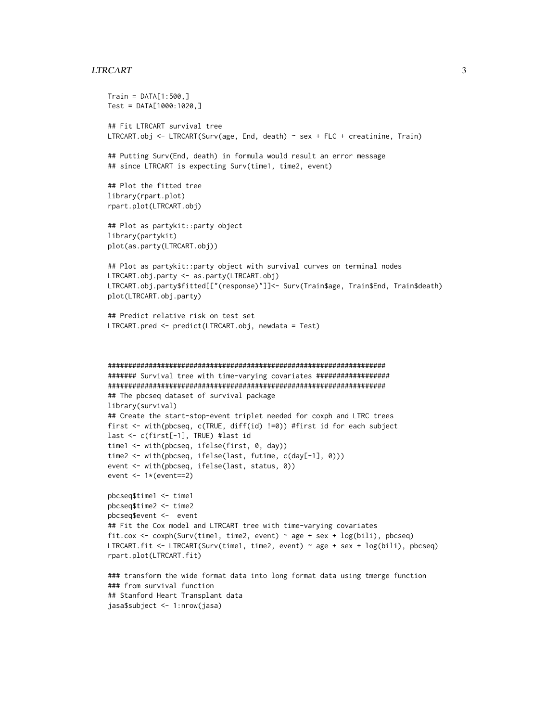#### **LTRCART**

```
Train = DATA[1:500.]Test = DATA[1000:1020, ]## Fit LTRCART survival tree
LTRCART.obj <- LTRCART(Surv(age, End, death) ~ sex + FLC + creatinine, Train)
## Putting Surv(End, death) in formula would result an error message
## since LTRCART is expecting Surv(time1, time2, event)
## Plot the fitted tree
library(rpart.plot)
rpart.plot(LTRCART.obj)
## Plot as partykit::party object
library(partykit)
plot(as.party(LTRCART.obj))
## Plot as partykit::party object with survival curves on terminal nodes
LTRCART.obj.party <- as.party(LTRCART.obj)
LTRCART.obj.party$fitted[["(response)"]]<- Surv(Train$age, Train$End, Train$death)
plot(LTRCART.obj.party)
## Predict relative risk on test set
LTRCART.pred <- predict(LTRCART.obj, newdata = Test)
####### Survival tree with time-varying covariates ###################
## The pbcseq dataset of survival package
library(survival)
## Create the start-stop-event triplet needed for coxph and LTRC trees
first <- with(pbcseq, c(TRUE, diff(id) !=0)) #first id for each subject
last <- c(first[-1], TRUE) #last id
time1 <- with(pbcseq, ifelse(first, 0, day))
time2 <- with(pbcseq, ifelse(last, futime, c(day[-1], 0)))
event <- with(pbcseq, ifelse(last, status, 0))
event <- 1*(event==2)pbcseq$time1 < - time1pbcseq$time2 <- time2
pbcseq$event <- event
## Fit the Cox model and LTRCART tree with time-varying covariates
fit.cox <- coxph(Surv(time1, time2, event) \sim age + sex + log(bili), pbcseq)
LTRCART.fit <- LTRCART(Surv(time1, time2, event) ~ age + sex + log(bili), pbcseq)
rpart.plot(LTRCART.fit)
### transform the wide format data into long format data using tmerge function
### from survival function
## Stanford Heart Transplant data
jasa$subject <- 1:nrow(jasa)
```
 $\overline{3}$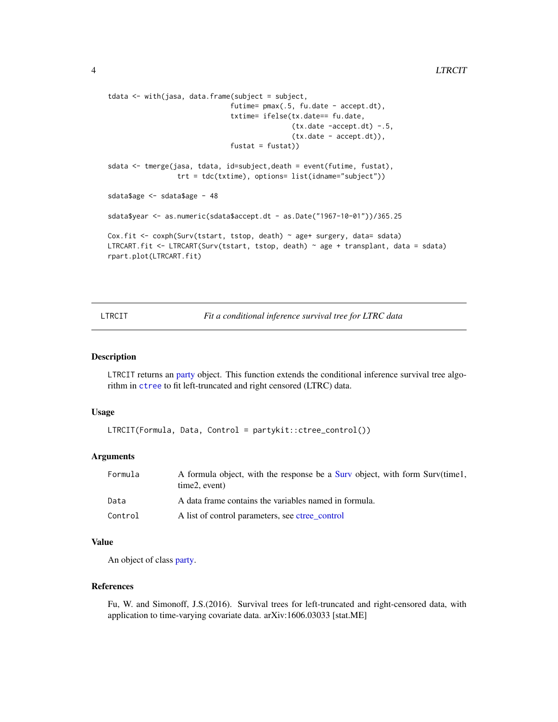```
tdata \leq with(jasa, data.frame(subject = subject,
                              futime= pmax(.5, fu.date - accept.dt),
                              txtime= ifelse(tx.date== fu.date,
                                             (tx.data -accept.dt) - .5,(tx.date - accept.dt)),
                              fustat = fustat)sdata <- tmerge(jasa, tdata, id=subject,death = event(futime, fustat),
                 trt = tdc(txtime), options= list(idname="subject"))
sdata$age <- sdata$age - 48
sdata$year <- as.numeric(sdata$accept.dt - as.Date("1967-10-01"))/365.25
Cox.fit <- coxph(Surv(tstart, tstop, death) ~ age+ surgery, data= sdata)
LTRCART.fit <- LTRCART(Surv(tstart, tstop, death) ~ age + transplant, data = sdata)
rpart.plot(LTRCART.fit)
```
LTRCIT *Fit a conditional inference survival tree for LTRC data*

#### Description

LTRCIT returns an [party](#page-0-0) object. This function extends the conditional inference survival tree algorithm in [ctree](#page-0-0) to fit left-truncated and right censored (LTRC) data.

#### Usage

```
LTRCIT(Formula, Data, Control = partykit::ctree_control())
```
#### Arguments

| Formula | A formula object, with the response be a Surv object, with form Surv(time1,<br>time2, event) |
|---------|----------------------------------------------------------------------------------------------|
| Data    | A data frame contains the variables named in formula.                                        |
| Control | A list of control parameters, see ctree control                                              |

#### Value

An object of class [party.](#page-0-0)

#### References

Fu, W. and Simonoff, J.S.(2016). Survival trees for left-truncated and right-censored data, with application to time-varying covariate data. arXiv:1606.03033 [stat.ME]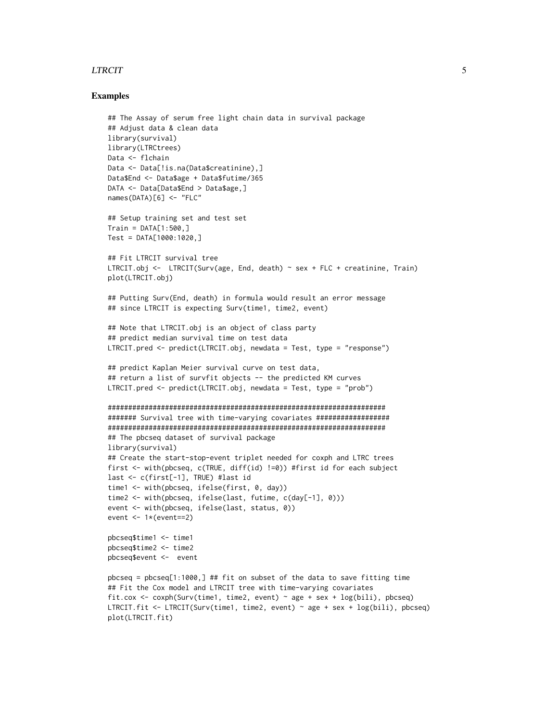#### **LTRCIT**

#### **Examples**

```
## The Assay of serum free light chain data in survival package
## Adjust data & clean data
library(survival)
library(LTRCtrees)
Data <- flchain
Data <- Data[!is.na(Data$creatinine),]
Data$End <- Data$age + Data$futime/365
DATA <- Data[Data$End > Data$age,]
names(DATA)[6] <- "FLC"
## Setup training set and test set
Train = DATA[1:500, ]Test = DATA[1000:1020.]## Fit LTRCIT survival tree
LTRCIT.obj <- LTRCIT(Surv(age, End, death) ~ sex + FLC + creatinine, Train)
plot(LTRCIT.obj)
## Putting Surv(End, death) in formula would result an error message
## since LTRCIT is expecting Surv(time1, time2, event)
## Note that LTRCIT.obj is an object of class party
## predict median survival time on test data
LTRCIT.pred <- predict(LTRCIT.obj, newdata = Test, type = "response")
## predict Kaplan Meier survival curve on test data,
## return a list of survfit objects -- the predicted KM curves
LTRCIT.pred <- predict(LTRCIT.obj, newdata = Test, type = "prob")
######## Survival tree with time-varying covariates ###################
## The pbcseq dataset of survival package
library(survival)
## Create the start-stop-event triplet needed for coxph and LTRC trees
first <- with(pbcseq, c(TRUE, diff(id) !=0)) #first id for each subject
last <- c(first[-1], TRUE) #last id
time1 <- with(pbcseq, ifelse(first, 0, day))
time2 <- with(pbcseq, ifelse(last, futime, c(day[-1], 0)))
event <- with(pbcseq, ifelse(last, status, 0))
event \leq -1*(event==2)pbcseq$time1 <- time1
pbcseq$time2 < - time2pbcseq$event <- event
pbcseq = pbcseq[1:1000,] ## fit on subset of the data to save fitting time
## Fit the Cox model and LTRCIT tree with time-varying covariates
fit.cox <- coxph(Surv(time1, time2, event) ~ age + sex + log(bili), pbcseq)
LTRCIT.fit <- LTRCIT(Surv(time1, time2, event) ~ age + sex + log(bili), pbcseq)
plot(LTRCIT.fit)
```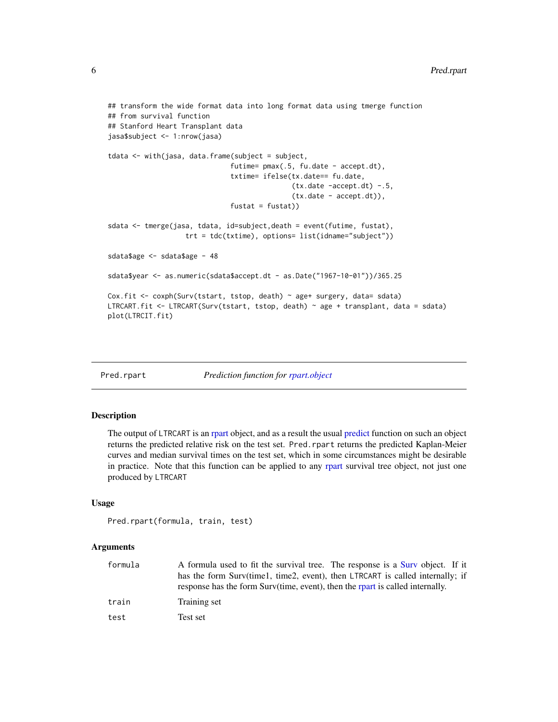```
## transform the wide format data into long format data using tmerge function
## from survival function
## Stanford Heart Transplant data
jasa$subject <- 1:nrow(jasa)
tdata < - with(jasa, data.frame(subject = subject,
                              futime= pmax(.5, fu.date - accept.dt),
                              txtime= ifelse(tx.date== fu.date,
                                             (tx.date -accept.dt) - .5,(tx.date - accept.dt)),
                              fustat = fustat)sdata <- tmerge(jasa, tdata, id=subject,death = event(futime, fustat),
                   trt = tdc(txtime), options= list(idname="subject"))
sdata$age <- sdata$age - 48
sdata$year <- as.numeric(sdata$accept.dt - as.Date("1967-10-01"))/365.25
Cox.fit <- coxph(Surv(tstart, tstop, death) ~ age+ surgery, data= sdata)
LTRCART.fit <- LTRCART(Surv(tstart, tstop, death) ~ age + transplant, data = sdata)
plot(LTRCIT.fit)
```
Pred.rpart *Prediction function for [rpart.object](#page-0-0)*

#### **Description**

The output of LTRCART is an [rpart](#page-0-0) object, and as a result the usual [predict](#page-0-0) function on such an object returns the predicted relative risk on the test set. Pred.rpart returns the predicted Kaplan-Meier curves and median survival times on the test set, which in some circumstances might be desirable in practice. Note that this function can be applied to any [rpart](#page-0-0) survival tree object, not just one produced by LTRCART

#### Usage

```
Pred.rpart(formula, train, test)
```
#### Arguments

| formula | A formula used to fit the survival tree. The response is a Surv object. If it<br>has the form Surv(time1, time2, event), then LTRCART is called internally; if<br>response has the form Surv(time, event), then the rpart is called internally. |
|---------|-------------------------------------------------------------------------------------------------------------------------------------------------------------------------------------------------------------------------------------------------|
| train   | Training set                                                                                                                                                                                                                                    |
| test    | Test set                                                                                                                                                                                                                                        |

<span id="page-5-0"></span>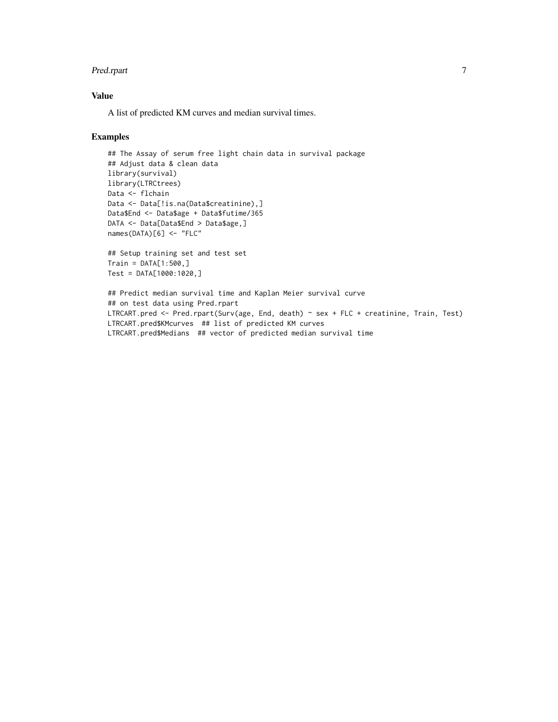#### Pred.rpart 7 and 7 and 7 and 7 and 7 and 7 and 7 and 7 and 7 and 7 and 7 and 7 and 7 and 7 and 7 and 7 and 7 and 7 and 7 and 7 and 7 and 7 and 7 and 7 and 7 and 7 and 7 and 7 and 7 and 7 and 7 and 7 and 7 and 7 and 7 and 7

#### Value

A list of predicted KM curves and median survival times.

#### Examples

```
## The Assay of serum free light chain data in survival package
## Adjust data & clean data
library(survival)
library(LTRCtrees)
Data <- flchain
Data <- Data[!is.na(Data$creatinine),]
Data$End <- Data$age + Data$futime/365
DATA <- Data[Data$End > Data$age,]
names(DATA)[6] <- "FLC"
```

```
## Setup training set and test set
Train = DATA[1:500, ]Test = DATA[1000:1020,]
```

```
## Predict median survival time and Kaplan Meier survival curve
## on test data using Pred.rpart
LTRCART.pred <- Pred.rpart(Surv(age, End, death) ~ sex + FLC + creatinine, Train, Test)
LTRCART.pred$KMcurves ## list of predicted KM curves
LTRCART.pred$Medians ## vector of predicted median survival time
```